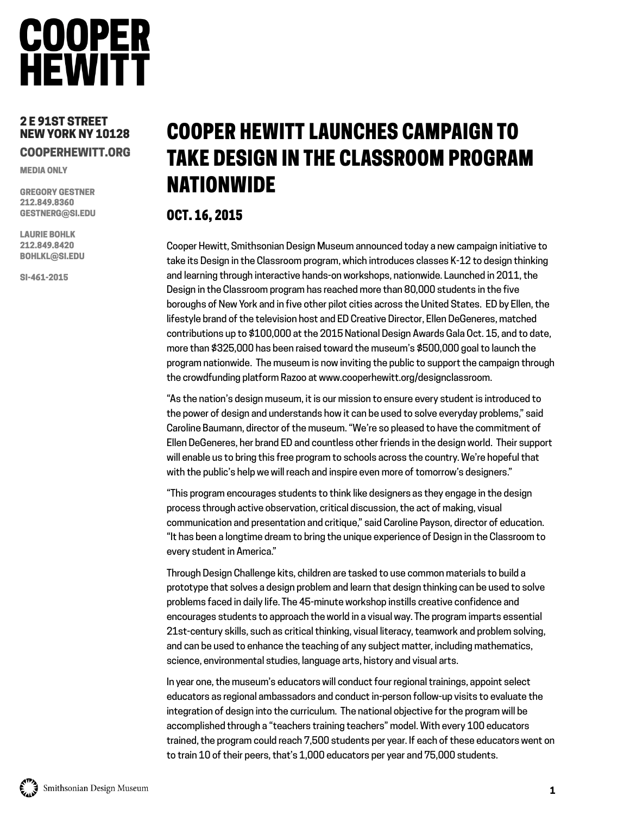## **COOPER HEWITT**

#### 2 E 91ST STREET NEW YORK NY 10128 COOPERHEWITT.ORG

MEDIA ONLY

GREGORY GESTNER 212.849.8360 GESTNERG@SI.EDU

LAURIE BOHLK 212.849.8420 BOHLKL@SI.EDU

SI-461-2015

### COOPER HEWITT LAUNCHES CAMPAIGN TO TAKE DESIGN IN THE CLASSROOM PROGRAM NATIONWIDE

#### OCT. 16, 2015

Cooper Hewitt, Smithsonian Design Museum announced today a new campaign initiative to take its Design in the Classroom program, which introduces classes K-12 to design thinking and learning through interactive hands-on workshops, nationwide. Launched in 2011, the Design in the Classroom program has reached more than 80,000 students in the five boroughs of New York and in five other pilot cities across the United States. ED by Ellen, the lifestyle brand of the television host and ED Creative Director, Ellen DeGeneres, matched contributions up to \$100,000 at the 2015 National Design Awards Gala Oct. 15, and to date, more than \$325,000 has been raised toward the museum's \$500,000 goal to launch the program nationwide. The museum is now inviting the public to support the campaign through the crowdfunding platform Razoo at www.cooperhewitt.org/designclassroom.

"As the nation's design museum, it is our mission to ensure every student is introduced to the power of design and understands how it can be used to solve everyday problems," said Caroline Baumann, director of the museum. "We're so pleased to have the commitment of Ellen DeGeneres, her brand ED and countless other friends in the design world. Their support will enable us to bring this free program to schools across the country. We're hopeful that with the public's help we will reach and inspire even more of tomorrow's designers."

"This program encourages students to think like designers as they engage in the design process through active observation, critical discussion, the act of making, visual communication and presentation and critique," said Caroline Payson, director of education. "It has been a longtime dream to bring the unique experience of Design in the Classroom to every student in America."

Through Design Challenge kits, children are tasked to use common materials to build a prototype that solves a design problem and learn that design thinking can be used to solve problems faced in daily life. The 45-minute workshop instills creative confidence and encourages students to approach the world in a visual way. The program imparts essential 21st-century skills, such as critical thinking, visual literacy, teamwork and problem solving, and can be used to enhance the teaching of any subject matter, including mathematics, science, environmental studies, language arts, history and visual arts.

In year one, the museum's educators will conduct four regional trainings, appoint select educators as regional ambassadors and conduct in-person follow-up visits to evaluate the integration of design into the curriculum. The national objective for the program will be accomplished through a "teachers training teachers" model. With every 100 educators trained, the program could reach 7,500 students per year. If each of these educators went on to train 10 of their peers, that's 1,000 educators per year and 75,000 students.